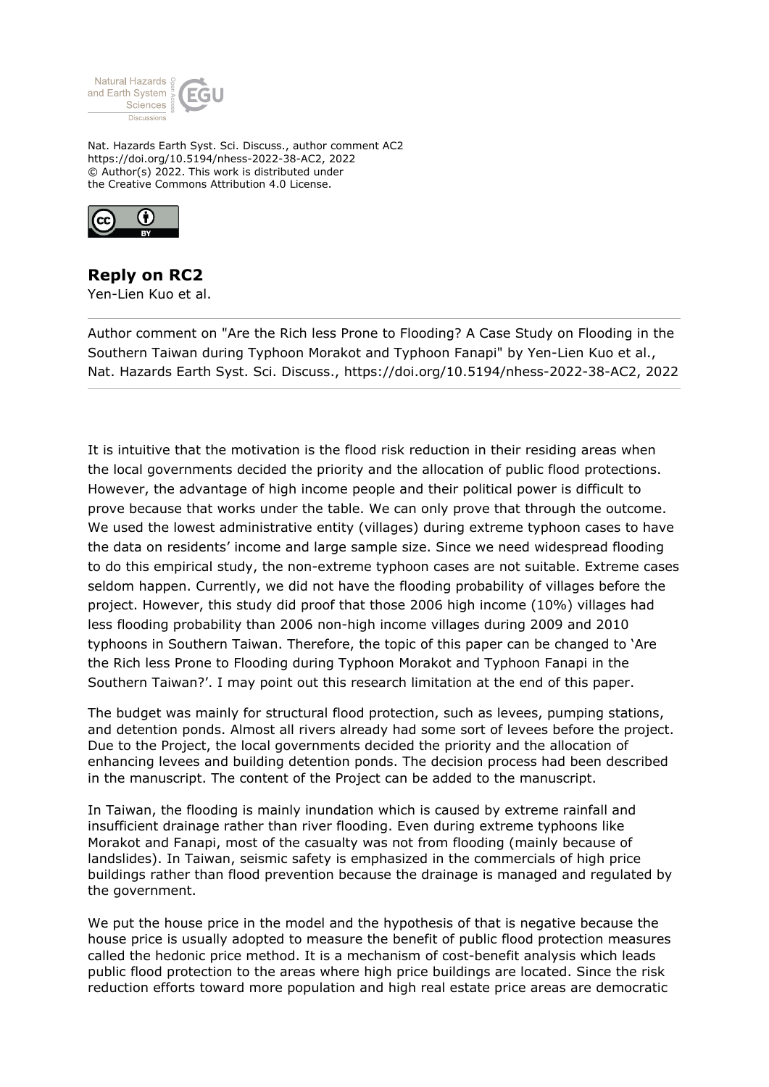

Nat. Hazards Earth Syst. Sci. Discuss., author comment AC2 https://doi.org/10.5194/nhess-2022-38-AC2, 2022 © Author(s) 2022. This work is distributed under the Creative Commons Attribution 4.0 License.



## **Reply on RC2**

Yen-Lien Kuo et al.

Author comment on "Are the Rich less Prone to Flooding? A Case Study on Flooding in the Southern Taiwan during Typhoon Morakot and Typhoon Fanapi" by Yen-Lien Kuo et al., Nat. Hazards Earth Syst. Sci. Discuss., https://doi.org/10.5194/nhess-2022-38-AC2, 2022

It is intuitive that the motivation is the flood risk reduction in their residing areas when the local governments decided the priority and the allocation of public flood protections. However, the advantage of high income people and their political power is difficult to prove because that works under the table. We can only prove that through the outcome. We used the lowest administrative entity (villages) during extreme typhoon cases to have the data on residents' income and large sample size. Since we need widespread flooding to do this empirical study, the non-extreme typhoon cases are not suitable. Extreme cases seldom happen. Currently, we did not have the flooding probability of villages before the project. However, this study did proof that those 2006 high income (10%) villages had less flooding probability than 2006 non-high income villages during 2009 and 2010 typhoons in Southern Taiwan. Therefore, the topic of this paper can be changed to 'Are the Rich less Prone to Flooding during Typhoon Morakot and Typhoon Fanapi in the Southern Taiwan?'. I may point out this research limitation at the end of this paper.

The budget was mainly for structural flood protection, such as levees, pumping stations, and detention ponds. Almost all rivers already had some sort of levees before the project. Due to the Project, the local governments decided the priority and the allocation of enhancing levees and building detention ponds. The decision process had been described in the manuscript. The content of the Project can be added to the manuscript.

In Taiwan, the flooding is mainly inundation which is caused by extreme rainfall and insufficient drainage rather than river flooding. Even during extreme typhoons like Morakot and Fanapi, most of the casualty was not from flooding (mainly because of landslides). In Taiwan, seismic safety is emphasized in the commercials of high price buildings rather than flood prevention because the drainage is managed and regulated by the government.

We put the house price in the model and the hypothesis of that is negative because the house price is usually adopted to measure the benefit of public flood protection measures called the hedonic price method. It is a mechanism of cost-benefit analysis which leads public flood protection to the areas where high price buildings are located. Since the risk reduction efforts toward more population and high real estate price areas are democratic